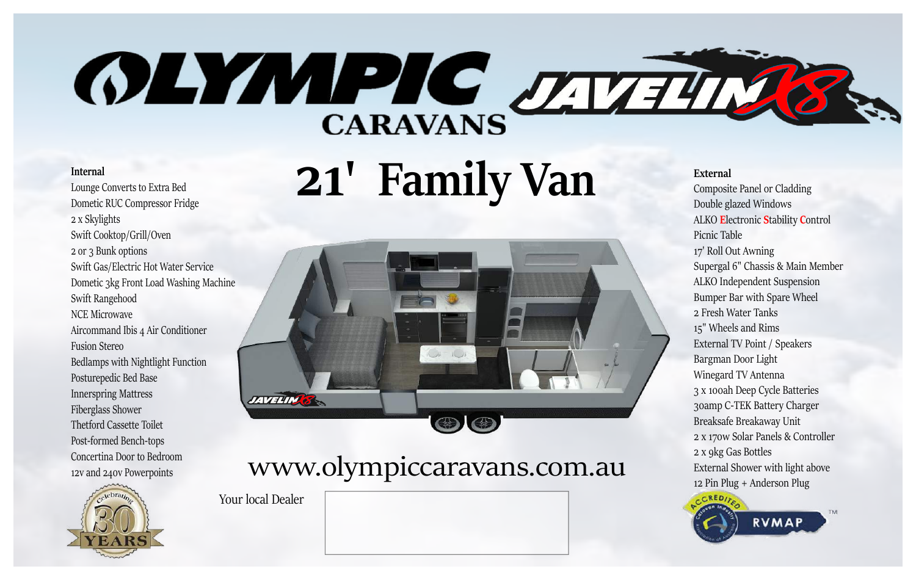# **OLYMPIC JAVILLE**

#### **Internal**

Lounge Converts to Extra Bed Dometic RUC Compressor Fridge 2 x Skylights Swift Cooktop/Grill/Oven 2 or 3 Bunk options Swift Gas/Electric Hot Water Service Dometic 3kg Front Load Washing Machine Swift Rangehood NCE Microwave Aircommand Ibis 4 Air Conditioner Fusion Stereo Bedlamps with Nightlight Function Posturepedic Bed Base Innerspring Mattress Fiberglass Shower Thetford Cassette Toilet Post‐formed Bench‐tops Concertina Door to Bedroom 12v and 240v Powerpoints



**21' Family Van**



## WW.olympiccaravans.com.au External Shower with light all External Shower with light all External Shower with light all

Your local Dealer

**External**

Composite Panel or Cladding Double glazed Windows ALKO **E**lectronic **S**tability **C**ontrol Picnic Table 17' Roll Out Awning Supergal 6" Chassis & Main Member ALKO Independent Suspension Bumper Bar with Spare Wheel 2 Fresh Water Tanks 15" Wheels and Rims External TV Point / Speakers Bargman Door Light Winegard TV Antenna 3 x 100ah Deep Cycle Batteries 30amp C‐TEK Battery Charger Breaksafe Breakaway Unit 2 x 170w Solar Panels & Controller 2 x 9kg Gas Bottles External Shower with light above